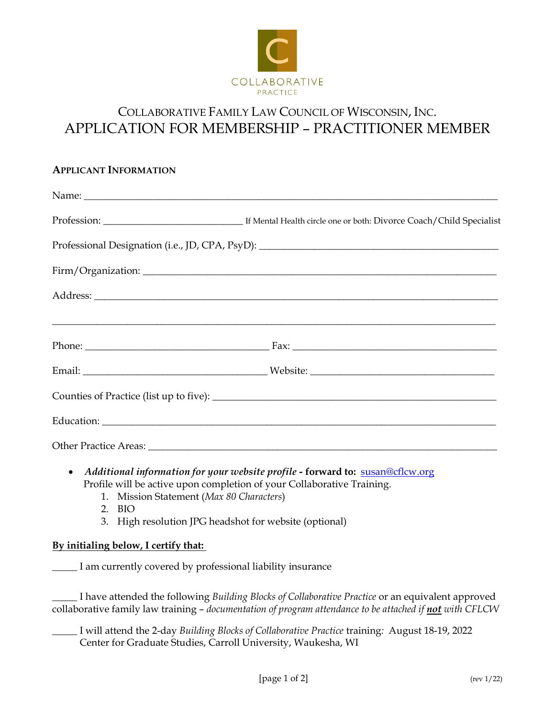

# COLLABORATIVE FAMILY LAW COUNCIL OF WISCONSIN, INC. APPLICATION FOR MEMBERSHIP – PRACTITIONER MEMBER

## **APPLICANT INFORMATION**

| Professional Designation (i.e., JD, CPA, PsyD): _________________________________ |
|-----------------------------------------------------------------------------------|
|                                                                                   |
|                                                                                   |
|                                                                                   |
|                                                                                   |
|                                                                                   |
|                                                                                   |
|                                                                                   |
|                                                                                   |

- *Additional information for your website profile -* **forward to:** [susan@cflcw.org](mailto:susan@cflcw.org) Profile will be active upon completion of your Collaborative Training.
	- 1. Mission Statement (*Max 80 Characters*)
	- 2. BIO
	- 3. High resolution JPG headshot for website (optional)

## **By initialing below, I certify that:**

\_\_\_\_\_ I am currently covered by professional liability insurance

\_\_\_\_\_ I have attended the following *Building Blocks of Collaborative Practice* or an equivalent approved collaborative family law training – *documentation of program attendance to be attached if not with CFLCW*

\_\_\_\_\_ I will attend the 2-day *Building Blocks of Collaborative Practice* training*:* August 18-19, 2022 Center for Graduate Studies, Carroll University, Waukesha, WI